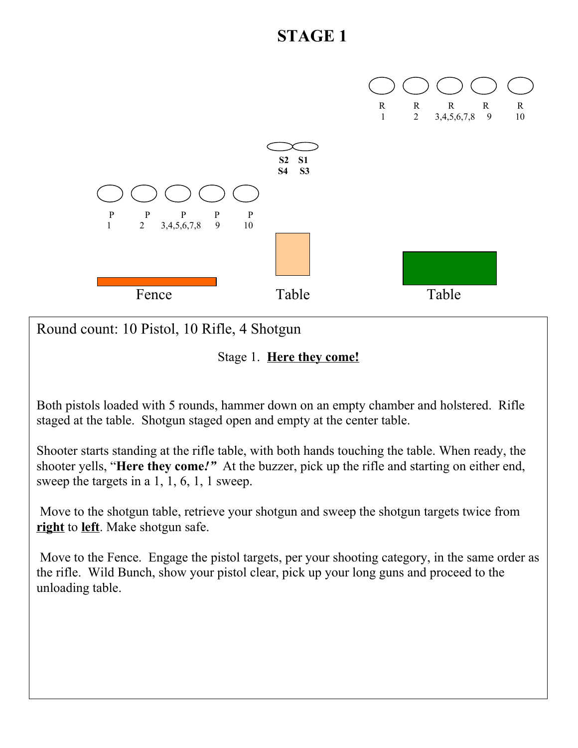

Round count: 10 Pistol, 10 Rifle, 4 Shotgun

Stage 1. **Here they come!**

Both pistols loaded with 5 rounds, hammer down on an empty chamber and holstered. Rifle staged at the table. Shotgun staged open and empty at the center table.

Shooter starts standing at the rifle table, with both hands touching the table. When ready, the shooter yells, "**Here they come***!"* At the buzzer, pick up the rifle and starting on either end, sweep the targets in a 1, 1, 6, 1, 1 sweep.

 Move to the shotgun table, retrieve your shotgun and sweep the shotgun targets twice from **right** to **left**. Make shotgun safe.

 Move to the Fence. Engage the pistol targets, per your shooting category, in the same order as the rifle. Wild Bunch, show your pistol clear, pick up your long guns and proceed to the unloading table.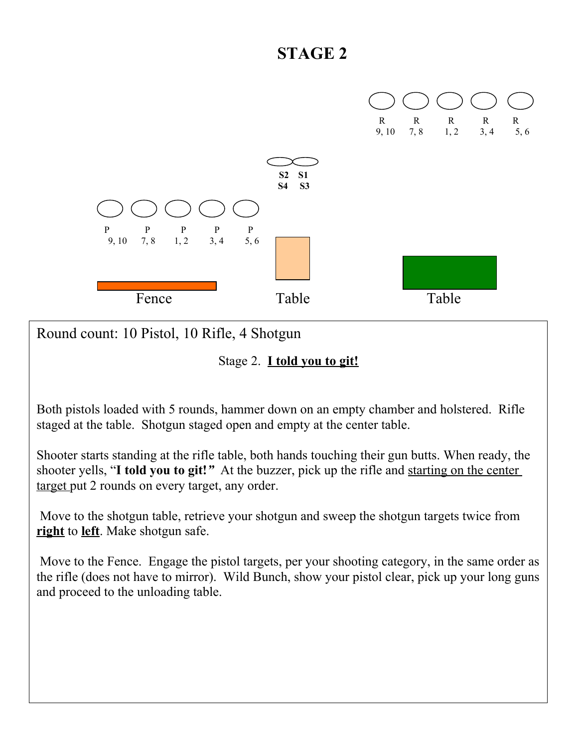

Round count: 10 Pistol, 10 Rifle, 4 Shotgun

Stage 2. **I told you to git!**

Both pistols loaded with 5 rounds, hammer down on an empty chamber and holstered. Rifle staged at the table. Shotgun staged open and empty at the center table.

Shooter starts standing at the rifle table, both hands touching their gun butts. When ready, the shooter yells, "**I told you to git!***"* At the buzzer, pick up the rifle and starting on the center target put 2 rounds on every target, any order.

 Move to the shotgun table, retrieve your shotgun and sweep the shotgun targets twice from **right** to **left**. Make shotgun safe.

 Move to the Fence. Engage the pistol targets, per your shooting category, in the same order as the rifle (does not have to mirror). Wild Bunch, show your pistol clear, pick up your long guns and proceed to the unloading table.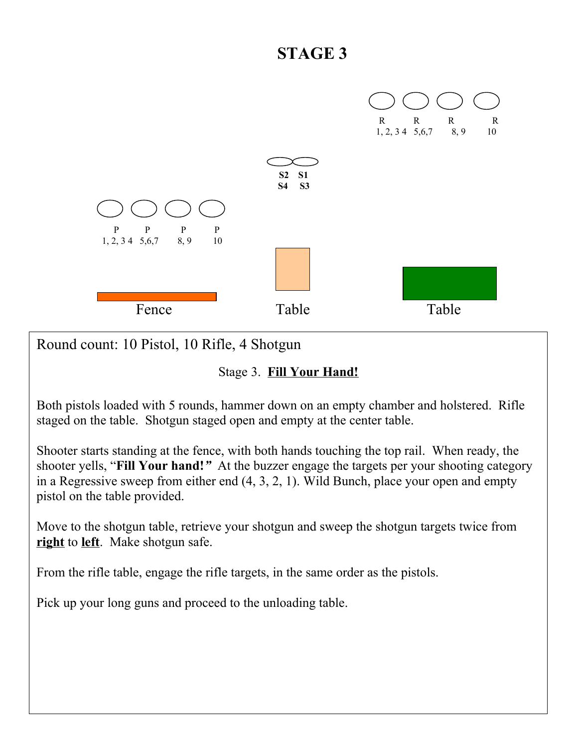

Round count: 10 Pistol, 10 Rifle, 4 Shotgun

#### Stage 3. **Fill Your Hand!**

Both pistols loaded with 5 rounds, hammer down on an empty chamber and holstered. Rifle staged on the table. Shotgun staged open and empty at the center table.

Shooter starts standing at the fence, with both hands touching the top rail. When ready, the shooter yells, "**Fill Your hand!***"* At the buzzer engage the targets per your shooting category in a Regressive sweep from either end (4, 3, 2, 1). Wild Bunch, place your open and empty pistol on the table provided.

Move to the shotgun table, retrieve your shotgun and sweep the shotgun targets twice from **right** to **left**. Make shotgun safe.

From the rifle table, engage the rifle targets, in the same order as the pistols.

Pick up your long guns and proceed to the unloading table.